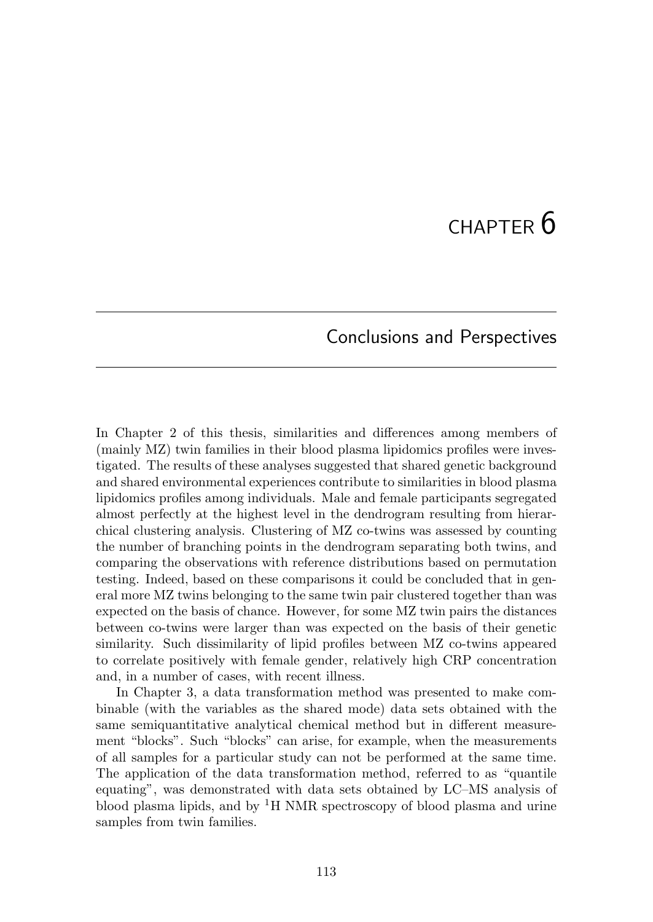# $CHAPTER$  6

### Conclusions and Perspectives

In Chapter 2 of this thesis, similarities and differences among members of (mainly MZ) twin families in their blood plasma lipidomics profiles were investigated. The results of these analyses suggested that shared genetic background and shared environmental experiences contribute to similarities in blood plasma lipidomics profiles among individuals. Male and female participants segregated almost perfectly at the highest level in the dendrogram resulting from hierarchical clustering analysis. Clustering of MZ co-twins was assessed by counting the number of branching points in the dendrogram separating both twins, and comparing the observations with reference distributions based on permutation testing. Indeed, based on these comparisons it could be concluded that in general more MZ twins belonging to the same twin pair clustered together than was expected on the basis of chance. However, for some MZ twin pairs the distances between co-twins were larger than was expected on the basis of their genetic similarity. Such dissimilarity of lipid profiles between MZ co-twins appeared to correlate positively with female gender, relatively high CRP concentration and, in a number of cases, with recent illness.

In Chapter 3, a data transformation method was presented to make combinable (with the variables as the shared mode) data sets obtained with the same semiquantitative analytical chemical method but in different measurement "blocks". Such "blocks" can arise, for example, when the measurements of all samples for a particular study can not be performed at the same time. The application of the data transformation method, referred to as "quantile equating", was demonstrated with data sets obtained by LC–MS analysis of blood plasma lipids, and by  ${}^{1}H$  NMR spectroscopy of blood plasma and urine samples from twin families.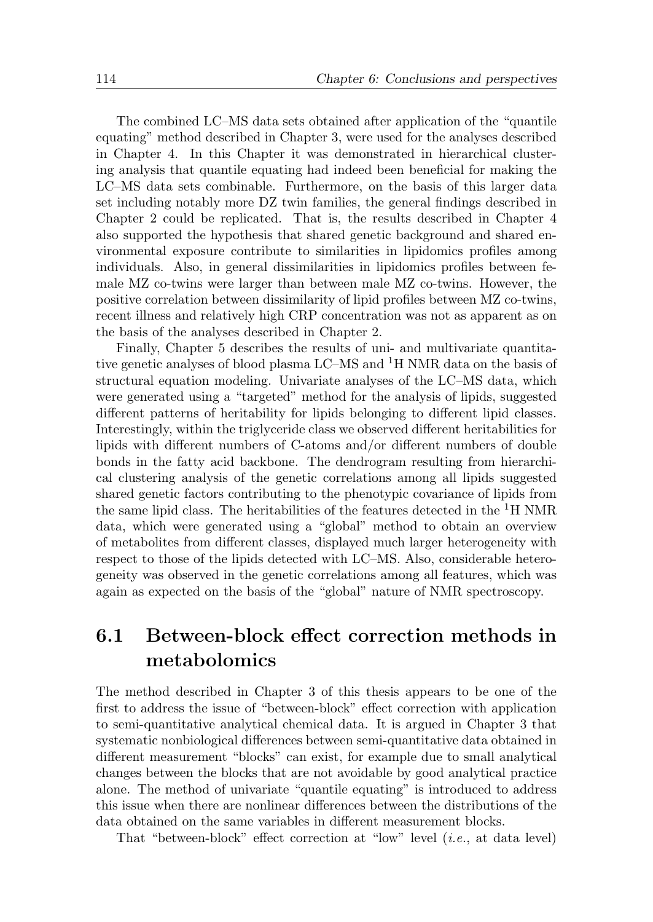The combined LC–MS data sets obtained after application of the "quantile equating" method described in Chapter 3, were used for the analyses described in Chapter 4. In this Chapter it was demonstrated in hierarchical clustering analysis that quantile equating had indeed been beneficial for making the LC–MS data sets combinable. Furthermore, on the basis of this larger data set including notably more DZ twin families, the general findings described in Chapter 2 could be replicated. That is, the results described in Chapter 4 also supported the hypothesis that shared genetic background and shared environmental exposure contribute to similarities in lipidomics profiles among individuals. Also, in general dissimilarities in lipidomics profiles between female MZ co-twins were larger than between male MZ co-twins. However, the positive correlation between dissimilarity of lipid profiles between MZ co-twins, recent illness and relatively high CRP concentration was not as apparent as on the basis of the analyses described in Chapter 2.

Finally, Chapter 5 describes the results of uni- and multivariate quantitative genetic analyses of blood plasma  $LC-MS$  and  $^1H NMR$  data on the basis of structural equation modeling. Univariate analyses of the LC–MS data, which were generated using a "targeted" method for the analysis of lipids, suggested different patterns of heritability for lipids belonging to different lipid classes. Interestingly, within the triglyceride class we observed different heritabilities for lipids with different numbers of C-atoms and/or different numbers of double bonds in the fatty acid backbone. The dendrogram resulting from hierarchical clustering analysis of the genetic correlations among all lipids suggested shared genetic factors contributing to the phenotypic covariance of lipids from the same lipid class. The heritabilities of the features detected in the  ${}^{1}H$  NMR data, which were generated using a "global" method to obtain an overview of metabolites from different classes, displayed much larger heterogeneity with respect to those of the lipids detected with LC–MS. Also, considerable heterogeneity was observed in the genetic correlations among all features, which was again as expected on the basis of the "global" nature of NMR spectroscopy.

## 6.1 Between-block effect correction methods in metabolomics

The method described in Chapter 3 of this thesis appears to be one of the first to address the issue of "between-block" effect correction with application to semi-quantitative analytical chemical data. It is argued in Chapter 3 that systematic nonbiological differences between semi-quantitative data obtained in different measurement "blocks" can exist, for example due to small analytical changes between the blocks that are not avoidable by good analytical practice alone. The method of univariate "quantile equating" is introduced to address this issue when there are nonlinear differences between the distributions of the data obtained on the same variables in different measurement blocks.

That "between-block" effect correction at "low" level (i.e., at data level)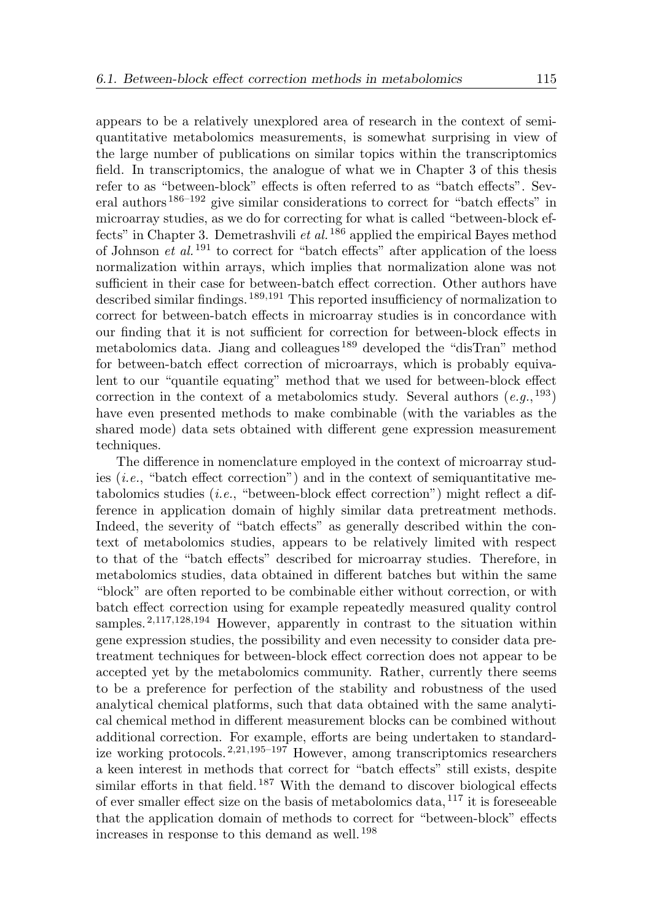appears to be a relatively unexplored area of research in the context of semiquantitative metabolomics measurements, is somewhat surprising in view of the large number of publications on similar topics within the transcriptomics field. In transcriptomics, the analogue of what we in Chapter 3 of this thesis refer to as "between-block" effects is often referred to as "batch effects". Several authors 186–192 give similar considerations to correct for "batch effects" in microarray studies, as we do for correcting for what is called "between-block effects" in Chapter 3. Demetrashvili et al.  $186$  applied the empirical Bayes method of Johnson *et al.*<sup>191</sup> to correct for "batch effects" after application of the loess normalization within arrays, which implies that normalization alone was not sufficient in their case for between-batch effect correction. Other authors have described similar findings. 189,191 This reported insufficiency of normalization to correct for between-batch effects in microarray studies is in concordance with our finding that it is not sufficient for correction for between-block effects in metabolomics data. Jiang and colleagues <sup>189</sup> developed the "disTran" method for between-batch effect correction of microarrays, which is probably equivalent to our "quantile equating" method that we used for between-block effect correction in the context of a metabolomics study. Several authors  $(e.g.,<sup>193</sup>)$ have even presented methods to make combinable (with the variables as the shared mode) data sets obtained with different gene expression measurement techniques.

The difference in nomenclature employed in the context of microarray studies  $(i.e., "batch effect correction")$  and in the context of semiquantitative metabolomics studies  $(i.e.,$  "between-block effect correction") might reflect a difference in application domain of highly similar data pretreatment methods. Indeed, the severity of "batch effects" as generally described within the context of metabolomics studies, appears to be relatively limited with respect to that of the "batch effects" described for microarray studies. Therefore, in metabolomics studies, data obtained in different batches but within the same "block" are often reported to be combinable either without correction, or with batch effect correction using for example repeatedly measured quality control samples.<sup>2,117,128,194</sup> However, apparently in contrast to the situation within gene expression studies, the possibility and even necessity to consider data pretreatment techniques for between-block effect correction does not appear to be accepted yet by the metabolomics community. Rather, currently there seems to be a preference for perfection of the stability and robustness of the used analytical chemical platforms, such that data obtained with the same analytical chemical method in different measurement blocks can be combined without additional correction. For example, efforts are being undertaken to standardize working protocols. 2,21,195–197 However, among transcriptomics researchers a keen interest in methods that correct for "batch effects" still exists, despite similar efforts in that field.<sup>187</sup> With the demand to discover biological effects of ever smaller effect size on the basis of metabolomics data,  $^{117}$  it is foreseeable that the application domain of methods to correct for "between-block" effects increases in response to this demand as well. <sup>198</sup>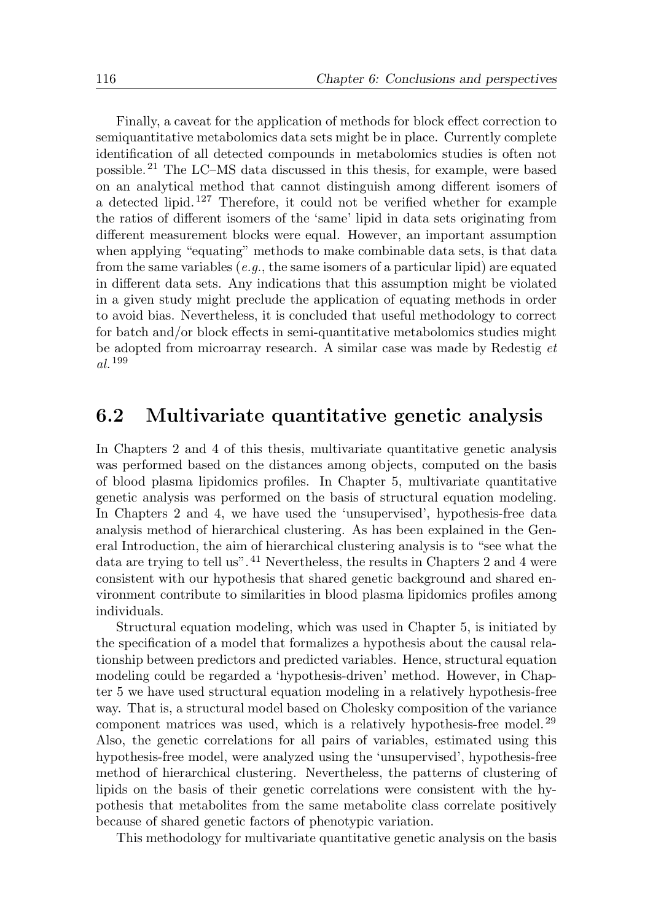Finally, a caveat for the application of methods for block effect correction to semiquantitative metabolomics data sets might be in place. Currently complete identification of all detected compounds in metabolomics studies is often not possible. <sup>21</sup> The LC–MS data discussed in this thesis, for example, were based on an analytical method that cannot distinguish among different isomers of a detected lipid.  $127$  Therefore, it could not be verified whether for example the ratios of different isomers of the 'same' lipid in data sets originating from different measurement blocks were equal. However, an important assumption when applying "equating" methods to make combinable data sets, is that data from the same variables (e.g., the same isomers of a particular lipid) are equated in different data sets. Any indications that this assumption might be violated in a given study might preclude the application of equating methods in order to avoid bias. Nevertheless, it is concluded that useful methodology to correct for batch and/or block effects in semi-quantitative metabolomics studies might be adopted from microarray research. A similar case was made by Redestig et al. <sup>199</sup>

#### 6.2 Multivariate quantitative genetic analysis

In Chapters 2 and 4 of this thesis, multivariate quantitative genetic analysis was performed based on the distances among objects, computed on the basis of blood plasma lipidomics profiles. In Chapter 5, multivariate quantitative genetic analysis was performed on the basis of structural equation modeling. In Chapters 2 and 4, we have used the 'unsupervised', hypothesis-free data analysis method of hierarchical clustering. As has been explained in the General Introduction, the aim of hierarchical clustering analysis is to "see what the data are trying to tell us".<sup>41</sup> Nevertheless, the results in Chapters 2 and 4 were consistent with our hypothesis that shared genetic background and shared environment contribute to similarities in blood plasma lipidomics profiles among individuals.

Structural equation modeling, which was used in Chapter 5, is initiated by the specification of a model that formalizes a hypothesis about the causal relationship between predictors and predicted variables. Hence, structural equation modeling could be regarded a 'hypothesis-driven' method. However, in Chapter 5 we have used structural equation modeling in a relatively hypothesis-free way. That is, a structural model based on Cholesky composition of the variance component matrices was used, which is a relatively hypothesis-free model. <sup>29</sup> Also, the genetic correlations for all pairs of variables, estimated using this hypothesis-free model, were analyzed using the 'unsupervised', hypothesis-free method of hierarchical clustering. Nevertheless, the patterns of clustering of lipids on the basis of their genetic correlations were consistent with the hypothesis that metabolites from the same metabolite class correlate positively because of shared genetic factors of phenotypic variation.

This methodology for multivariate quantitative genetic analysis on the basis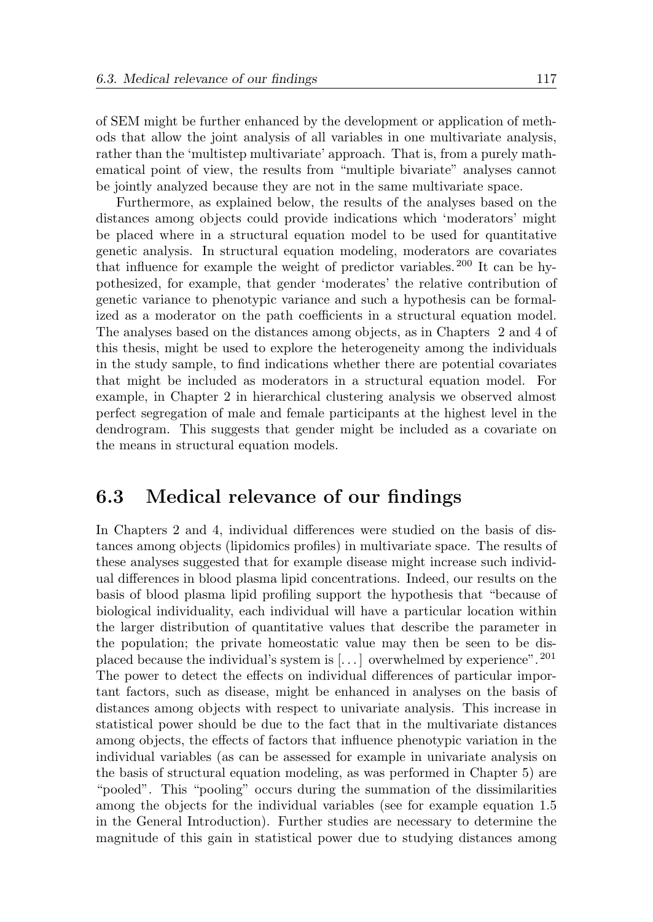of SEM might be further enhanced by the development or application of methods that allow the joint analysis of all variables in one multivariate analysis, rather than the 'multistep multivariate' approach. That is, from a purely mathematical point of view, the results from "multiple bivariate" analyses cannot be jointly analyzed because they are not in the same multivariate space.

Furthermore, as explained below, the results of the analyses based on the distances among objects could provide indications which 'moderators' might be placed where in a structural equation model to be used for quantitative genetic analysis. In structural equation modeling, moderators are covariates that influence for example the weight of predictor variables. <sup>200</sup> It can be hypothesized, for example, that gender 'moderates' the relative contribution of genetic variance to phenotypic variance and such a hypothesis can be formalized as a moderator on the path coefficients in a structural equation model. The analyses based on the distances among objects, as in Chapters 2 and 4 of this thesis, might be used to explore the heterogeneity among the individuals in the study sample, to find indications whether there are potential covariates that might be included as moderators in a structural equation model. For example, in Chapter 2 in hierarchical clustering analysis we observed almost perfect segregation of male and female participants at the highest level in the dendrogram. This suggests that gender might be included as a covariate on the means in structural equation models.

#### 6.3 Medical relevance of our findings

In Chapters 2 and 4, individual differences were studied on the basis of distances among objects (lipidomics profiles) in multivariate space. The results of these analyses suggested that for example disease might increase such individual differences in blood plasma lipid concentrations. Indeed, our results on the basis of blood plasma lipid profiling support the hypothesis that "because of biological individuality, each individual will have a particular location within the larger distribution of quantitative values that describe the parameter in the population; the private homeostatic value may then be seen to be displaced because the individual's system is  $[...]$  overwhelmed by experience". <sup>201</sup> The power to detect the effects on individual differences of particular important factors, such as disease, might be enhanced in analyses on the basis of distances among objects with respect to univariate analysis. This increase in statistical power should be due to the fact that in the multivariate distances among objects, the effects of factors that influence phenotypic variation in the individual variables (as can be assessed for example in univariate analysis on the basis of structural equation modeling, as was performed in Chapter 5) are "pooled". This "pooling" occurs during the summation of the dissimilarities among the objects for the individual variables (see for example equation 1.5 in the General Introduction). Further studies are necessary to determine the magnitude of this gain in statistical power due to studying distances among